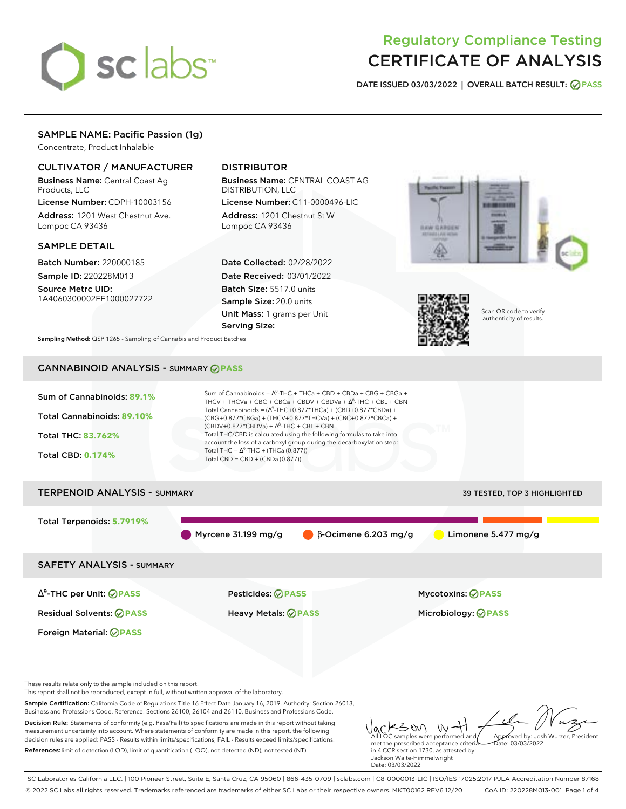

# Regulatory Compliance Testing CERTIFICATE OF ANALYSIS

**DATE ISSUED 03/03/2022 | OVERALL BATCH RESULT: PASS**

# SAMPLE NAME: Pacific Passion (1g)

Concentrate, Product Inhalable

#### CULTIVATOR / MANUFACTURER

Business Name: Central Coast Ag Products, LLC

License Number: CDPH-10003156 Address: 1201 West Chestnut Ave. Lompoc CA 93436

#### SAMPLE DETAIL

Batch Number: 220000185 Sample ID: 220228M013

Source Metrc UID: 1A4060300002EE1000027722

## DISTRIBUTOR

Business Name: CENTRAL COAST AG DISTRIBUTION, LLC

License Number: C11-0000496-LIC Address: 1201 Chestnut St W Lompoc CA 93436

Date Collected: 02/28/2022 Date Received: 03/01/2022 Batch Size: 5517.0 units Sample Size: 20.0 units Unit Mass: 1 grams per Unit Serving Size:





Scan QR code to verify authenticity of results.

**Sampling Method:** QSP 1265 - Sampling of Cannabis and Product Batches

# CANNABINOID ANALYSIS - SUMMARY **PASS**



References:limit of detection (LOD), limit of quantification (LOQ), not detected (ND), not tested (NT)

All LQC samples were performed and met the prescribed acceptance criteria in 4 CCR section 1730, as attested by: Jackson Waite-Himmelwright Date: 03/03/2022 Date: 03/03/2022

SC Laboratories California LLC. | 100 Pioneer Street, Suite E, Santa Cruz, CA 95060 | 866-435-0709 | sclabs.com | C8-0000013-LIC | ISO/IES 17025:2017 PJLA Accreditation Number 87168 © 2022 SC Labs all rights reserved. Trademarks referenced are trademarks of either SC Labs or their respective owners. MKT00162 REV6 12/20 CoA ID: 220228M013-001 Page 1 of 4